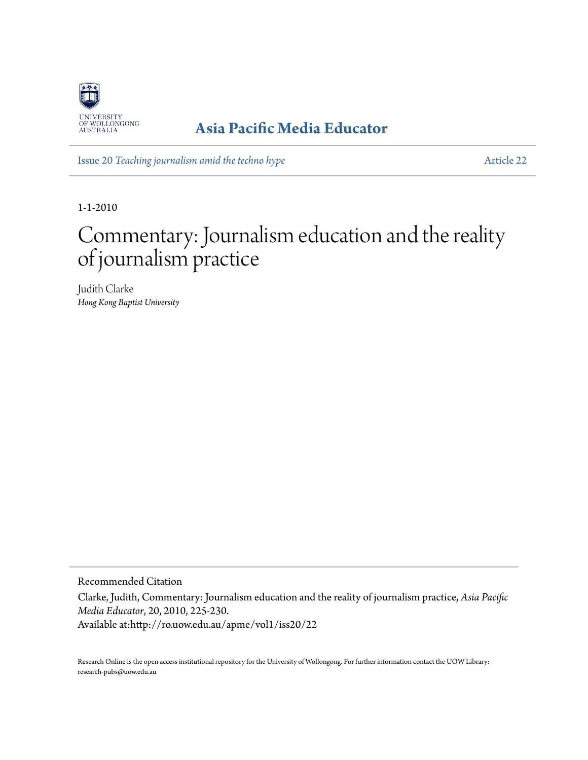

## **[Asia Pacific Media Educator](http://ro.uow.edu.au/apme)**

Issue 20 *[Teaching journalism amid the techno hype](http://ro.uow.edu.au/apme/vol1/iss20)* [Article 22](http://ro.uow.edu.au/apme/vol1/iss20/22)

1-1-2010

## Commentary: Journalism education and the reality of journalism practice

Judith Clarke *Hong Kong Baptist University*

Recommended Citation

Clarke, Judith, Commentary: Journalism education and the reality of journalism practice, *Asia Pacific Media Educator*, 20, 2010, 225-230.

Available at:http://ro.uow.edu.au/apme/vol1/iss20/22

Research Online is the open access institutional repository for the University of Wollongong. For further information contact the UOW Library: research-pubs@uow.edu.au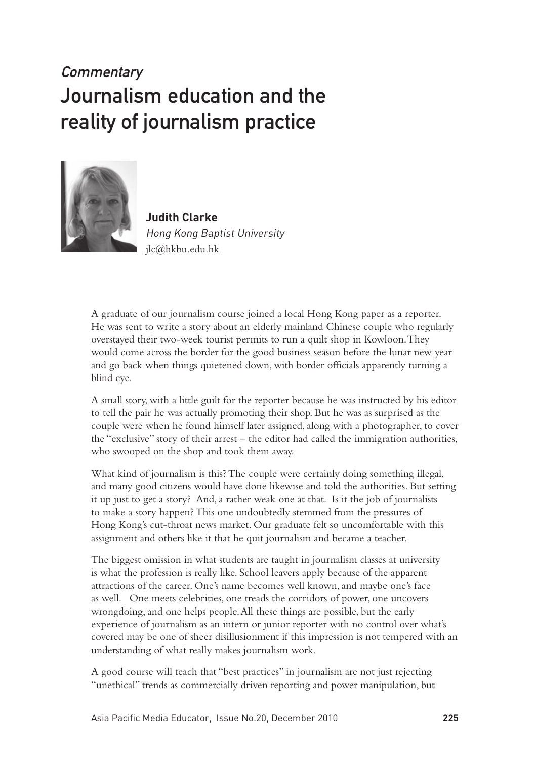## **Commentary** Journalism education and the reality of journalism practice



**Judith Clarke** Hong Kong Baptist University jlc@hkbu.edu.hk

A graduate of our journalism course joined a local Hong Kong paper as a reporter. He was sent to write a story about an elderly mainland Chinese couple who regularly overstayed their two-week tourist permits to run a quilt shop in Kowloon. They would come across the border for the good business season before the lunar new year and go back when things quietened down, with border officials apparently turning a blind eye.

A small story, with a little guilt for the reporter because he was instructed by his editor to tell the pair he was actually promoting their shop. But he was as surprised as the couple were when he found himself later assigned, along with a photographer, to cover the "exclusive" story of their arrest – the editor had called the immigration authorities, who swooped on the shop and took them away.

What kind of journalism is this? The couple were certainly doing something illegal, and many good citizens would have done likewise and told the authorities. But setting it up just to get a story? And, a rather weak one at that. Is it the job of journalists to make a story happen? This one undoubtedly stemmed from the pressures of Hong Kong's cut-throat news market. Our graduate felt so uncomfortable with this assignment and others like it that he quit journalism and became a teacher.

The biggest omission in what students are taught in journalism classes at university is what the profession is really like. School leavers apply because of the apparent attractions of the career. One's name becomes well known, and maybe one's face as well. One meets celebrities, one treads the corridors of power, one uncovers wrongdoing, and one helps people. All these things are possible, but the early experience of journalism as an intern or junior reporter with no control over what's covered may be one of sheer disillusionment if this impression is not tempered with an understanding of what really makes journalism work.

A good course will teach that "best practices" in journalism are not just rejecting "unethical" trends as commercially driven reporting and power manipulation, but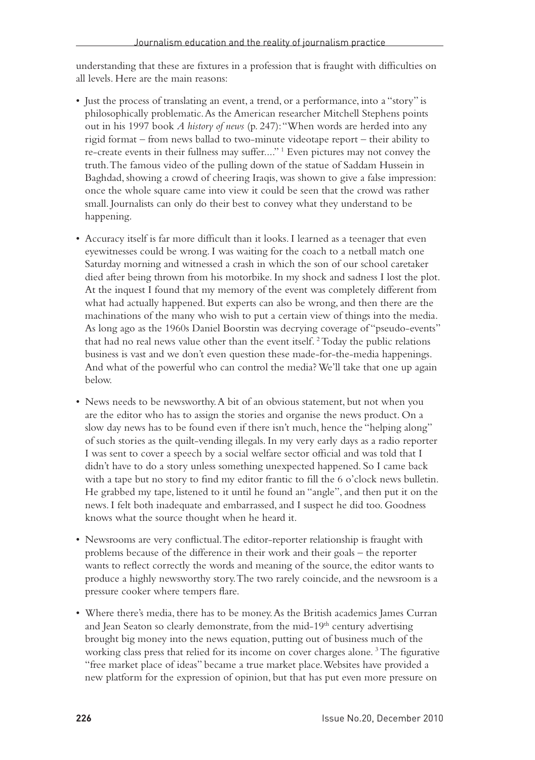understanding that these are fixtures in a profession that is fraught with difficulties on all levels. Here are the main reasons:

- Just the process of translating an event, a trend, or a performance, into a "story" is philosophically problematic. As the American researcher Mitchell Stephens points out in his 1997 book *A history of news* (p. 247): "When words are herded into any rigid format – from news ballad to two-minute videotape report – their ability to re-create events in their fullness may suffer...."<sup>1</sup> Even pictures may not convey the truth. The famous video of the pulling down of the statue of Saddam Hussein in Baghdad, showing a crowd of cheering Iraqis, was shown to give a false impression: once the whole square came into view it could be seen that the crowd was rather small. Journalists can only do their best to convey what they understand to be happening.
- • Accuracy itself is far more difficult than it looks. I learned as a teenager that even eyewitnesses could be wrong. I was waiting for the coach to a netball match one Saturday morning and witnessed a crash in which the son of our school caretaker died after being thrown from his motorbike. In my shock and sadness I lost the plot. At the inquest I found that my memory of the event was completely different from what had actually happened. But experts can also be wrong, and then there are the machinations of the many who wish to put a certain view of things into the media. As long ago as the 1960s Daniel Boorstin was decrying coverage of "pseudo-events" that had no real news value other than the event itself.<sup>2</sup> Today the public relations business is vast and we don't even question these made-for-the-media happenings. And what of the powerful who can control the media? We'll take that one up again below.
- News needs to be newsworthy. A bit of an obvious statement, but not when you are the editor who has to assign the stories and organise the news product. On a slow day news has to be found even if there isn't much, hence the "helping along" of such stories as the quilt-vending illegals. In my very early days as a radio reporter I was sent to cover a speech by a social welfare sector official and was told that I didn't have to do a story unless something unexpected happened. So I came back with a tape but no story to find my editor frantic to fill the 6 o'clock news bulletin. He grabbed my tape, listened to it until he found an "angle", and then put it on the news. I felt both inadequate and embarrassed, and I suspect he did too. Goodness knows what the source thought when he heard it.
- • Newsrooms are very conflictual.The editor-reporter relationship is fraught with problems because of the difference in their work and their goals – the reporter wants to reflect correctly the words and meaning of the source, the editor wants to produce a highly newsworthy story. The two rarely coincide, and the newsroom is a pressure cooker where tempers flare.
- • Where there's media, there has to be money.As the British academics James Curran and Jean Seaton so clearly demonstrate, from the mid-19<sup>th</sup> century advertising brought big money into the news equation, putting out of business much of the working class press that relied for its income on cover charges alone.<sup>3</sup> The figurative "free market place of ideas" became a true market place. Websites have provided a new platform for the expression of opinion, but that has put even more pressure on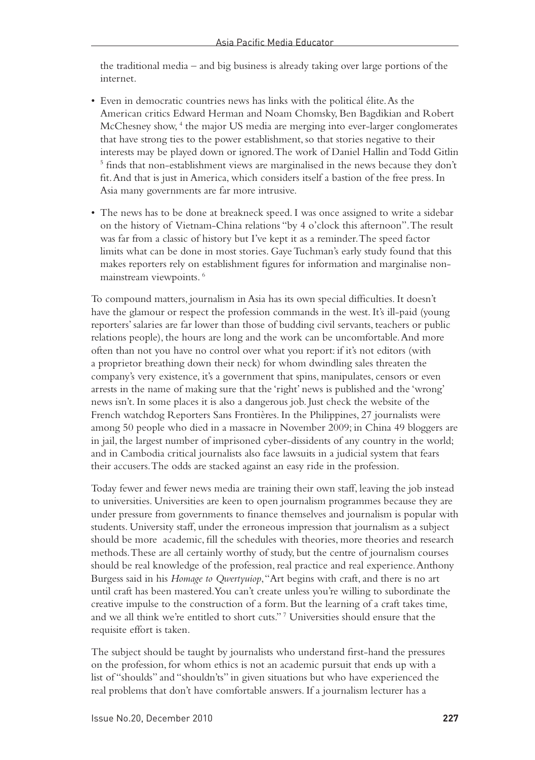the traditional media – and big business is already taking over large portions of the internet.

- Even in democratic countries news has links with the political élite. As the American critics Edward Herman and Noam Chomsky, Ben Bagdikian and Robert McChesney show,<sup>4</sup> the major US media are merging into ever-larger conglomerates that have strong ties to the power establishment, so that stories negative to their interests may be played down or ignored. The work of Daniel Hallin and Todd Gitlin <sup>5</sup> finds that non-establishment views are marginalised in the news because they don't fit. And that is just in America, which considers itself a bastion of the free press. In Asia many governments are far more intrusive.
- The news has to be done at breakneck speed. I was once assigned to write a sidebar on the history of Vietnam-China relations "by 4 o'clock this afternoon". The result was far from a classic of history but I've kept it as a reminder. The speed factor limits what can be done in most stories. Gaye Tuchman's early study found that this makes reporters rely on establishment figures for information and marginalise nonmainstream viewpoints. 6

To compound matters, journalism in Asia has its own special difficulties. It doesn't have the glamour or respect the profession commands in the west. It's ill-paid (young reporters' salaries are far lower than those of budding civil servants, teachers or public relations people), the hours are long and the work can be uncomfortable. And more often than not you have no control over what you report: if it's not editors (with a proprietor breathing down their neck) for whom dwindling sales threaten the company's very existence, it's a government that spins, manipulates, censors or even arrests in the name of making sure that the 'right' news is published and the 'wrong' news isn't. In some places it is also a dangerous job. Just check the website of the French watchdog Reporters Sans Frontières. In the Philippines, 27 journalists were among 50 people who died in a massacre in November 2009; in China 49 bloggers are in jail, the largest number of imprisoned cyber-dissidents of any country in the world; and in Cambodia critical journalists also face lawsuits in a judicial system that fears their accusers. The odds are stacked against an easy ride in the profession.

Today fewer and fewer news media are training their own staff, leaving the job instead to universities. Universities are keen to open journalism programmes because they are under pressure from governments to finance themselves and journalism is popular with students. University staff, under the erroneous impression that journalism as a subject should be more academic, fill the schedules with theories, more theories and research methods. These are all certainly worthy of study, but the centre of journalism courses should be real knowledge of the profession, real practice and real experience. Anthony Burgess said in his *Homage to Qwertyuiop*, "Art begins with craft, and there is no art until craft has been mastered. You can't create unless you're willing to subordinate the creative impulse to the construction of a form. But the learning of a craft takes time, and we all think we're entitled to short cuts." 7 Universities should ensure that the requisite effort is taken.

The subject should be taught by journalists who understand first-hand the pressures on the profession, for whom ethics is not an academic pursuit that ends up with a list of "shoulds" and "shouldn'ts" in given situations but who have experienced the real problems that don't have comfortable answers. If a journalism lecturer has a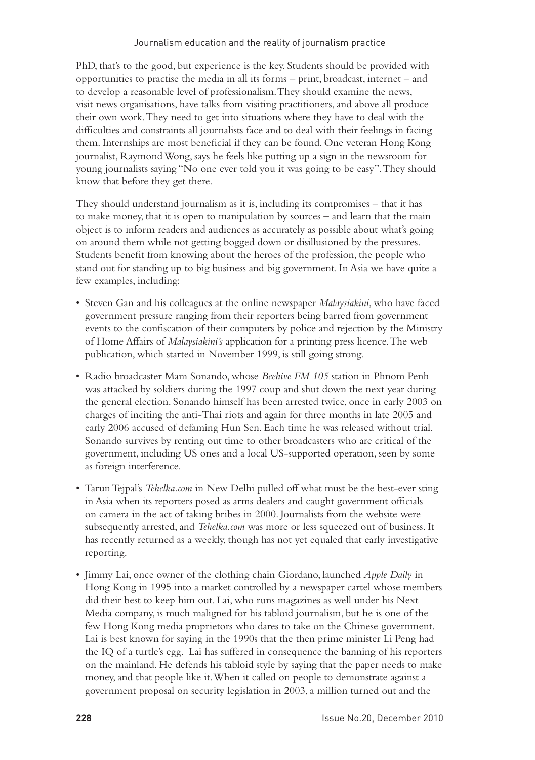PhD, that's to the good, but experience is the key. Students should be provided with opportunities to practise the media in all its forms – print, broadcast, internet – and to develop a reasonable level of professionalism. They should examine the news, visit news organisations, have talks from visiting practitioners, and above all produce their own work. They need to get into situations where they have to deal with the difficulties and constraints all journalists face and to deal with their feelings in facing them. Internships are most beneficial if they can be found. One veteran Hong Kong journalist, RaymondWong, says he feels like putting up a sign in the newsroom for young journalists saying "No one ever told you it was going to be easy".They should know that before they get there.

They should understand journalism as it is, including its compromises – that it has to make money, that it is open to manipulation by sources – and learn that the main object is to inform readers and audiences as accurately as possible about what's going on around them while not getting bogged down or disillusioned by the pressures. Students benefit from knowing about the heroes of the profession, the people who stand out for standing up to big business and big government. In Asia we have quite a few examples, including:

- • Steven Gan and his colleagues at the online newspaper *Malaysiakini*, who have faced government pressure ranging from their reporters being barred from government events to the confiscation of their computers by police and rejection by the Ministry of Home Affairs of *Malaysiakini's* application for a printing press licence. The web publication, which started in November 1999, is still going strong.
- • Radio broadcaster Mam Sonando, whose *Beehive FM 105* station in Phnom Penh was attacked by soldiers during the 1997 coup and shut down the next year during the general election. Sonando himself has been arrested twice, once in early 2003 on charges of inciting the anti-Thai riots and again for three months in late 2005 and early 2006 accused of defaming Hun Sen. Each time he was released without trial. Sonando survives by renting out time to other broadcasters who are critical of the government, including US ones and a local US-supported operation, seen by some as foreign interference.
- • TarunTejpal's *Tehelka.com* in New Delhi pulled off what must be the best-ever sting in Asia when its reporters posed as arms dealers and caught government officials on camera in the act of taking bribes in 2000. Journalists from the website were subsequently arrested, and *Tehelka.com* was more or less squeezed out of business. It has recently returned as a weekly, though has not yet equaled that early investigative reporting.
- • Jimmy Lai, once owner of the clothing chain Giordano, launched *Apple Daily* in Hong Kong in 1995 into a market controlled by a newspaper cartel whose members did their best to keep him out. Lai, who runs magazines as well under his Next Media company, is much maligned for his tabloid journalism, but he is one of the few Hong Kong media proprietors who dares to take on the Chinese government. Lai is best known for saying in the 1990s that the then prime minister Li Peng had the IQ of a turtle's egg. Lai has suffered in consequence the banning of his reporters on the mainland. He defends his tabloid style by saying that the paper needs to make money, and that people like it. When it called on people to demonstrate against a government proposal on security legislation in 2003, a million turned out and the